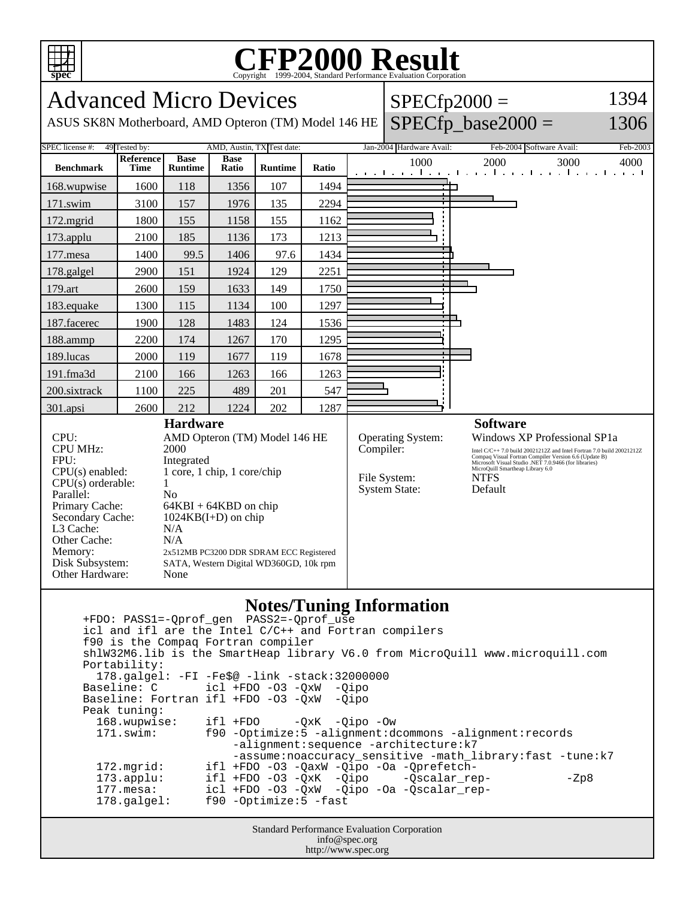

## **CFP2000 Result** Copyright 1999-2004, Standard Performance Evaluation Corporation

Advanced Micro Devices  $SPECfp2000 =$ 1394  $SPECfp\_base2000 =$ ASUS SK8N Motherboard, AMD Opteron (TM) Model 146 HE 1306 SPEC license #: 49 Tested by: AMD, Austin, TX Test date: Jan-2004 Hardware Avail: Feb-2004 Software Avail: Feb-2003 **Reference Base Base Runtime Ratio** 1000 2000 3000 4000 **Benchmark Time Runtime** 168.wupwise 1600 118 1356 107 1494 ┑ ┑ 171.swim | 3100 | 157 | 1976 | 135 | 2294 172.mgrid | 1800 | 155 | 1158 | 155 | 1162 173.applu | 2100 | 185 | 1136 | 173 | 1213 177.mesa | 1400 | 99.5 | 1406 | 97.6 | 1434 178.galgel | 2900 | 151 | 1924 | 129 | 2251 179.art 2600 159 1633 149 1750 183.equake 1300 115 1134 100 1297 187.facerec | 1900 | 128 | 1483 | 124 | 1536 188.ammp | 2200 | 174 | 1267 | 170 | 1295 189.lucas | 2000 | 119 | 1677 | 119 | 1678 191.fma3d | 2100 | 166 | 1263 | 166 | 1263 200.sixtrack 1100 225 489 201 547 301.apsi 2600 212 1224 202 1287 **Hardware Software** CPU: AMD Opteron (TM) Model 146 HE Operating System: Windows XP Professional SP1a CPU MHz: 2000 Compiler: Intel C/C++ 7.0 build 20021212Z and Intel Fortran 7.0 build 20021212Z Compaq Visual Fortran Compiler Version 6.6 (Update B) Microsoft Visual Studio .NET 7.0.9466 (for libraries) MicroQuill Smartheap Library 6.0 FPU: Integrated CPU(s) enabled: 1 core, 1 chip, 1 core/chip File System: NTFS  $CPU(s)$  orderable:  $1$ System State: Default Parallel: No Primary Cache: 64KBI + 64KBD on chip Secondary Cache: 1024KB(I+D) on chip L3 Cache:  $N/A$ <br>Other Cache:  $N/A$ Other Cache: Memory: 2x512MB PC3200 DDR SDRAM ECC Registered Disk Subsystem: SATA, Western Digital WD360GD, 10k rpm Other Hardware: None

## **Notes/Tuning Information**

Standard Performance Evaluation Corporation +FDO: PASS1=-Qprof\_gen PASS2=-Qprof\_use icl and ifl are the Intel C/C++ and Fortran compilers f90 is the Compaq Fortran compiler shlW32M6.lib is the SmartHeap library V6.0 from MicroQuill www.microquill.com Portability: 178.galgel: -FI -Fe\$@ -link -stack:32000000 Baseline: C icl +FDO -O3 -QxW -Qipo Baseline: Fortran ifl +FDO -O3 -QxW -Qipo Peak tuning: 168.wupwise: ifl +FDO -QxK -Qipo -Ow 171.swim: f90 -Optimize:5 -alignment:dcommons -alignment:records -alignment:sequence -architecture:k7 -assume:noaccuracy\_sensitive -math\_library:fast -tune:k7<br>172.mgrid: ifl +FDO -03 -OaxW -Oipo -Oa -Oprefetchifl +FDO -O3 -QaxW -Qipo -Oa -Qprefetch-173.applu: ifl +FDO -O3 -QxK -Qipo -Qscalar\_rep- - -Zp8 177.mesa: icl +FDO -O3 -QxW -Qipo -Oa -Qscalar\_rep- 178.galgel: f90 -Optimize:5 -fast

info@spec.org http://www.spec.org